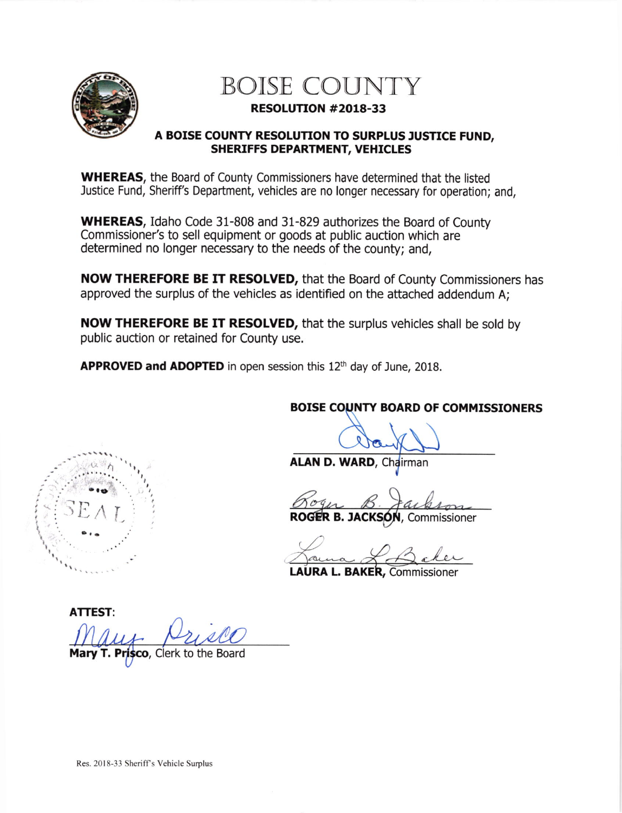

 $SEAT$ 

I I

## BOISE COUNTY

## RESOLUTTON #2018-33

## A BOISE COUNTY RESOLUTION TO SURPLUS JUSTICE FUND, SHERIFFS DEPARTMENT, VEHICLES

WHEREAS, the Board of County Commissioners have determined that the listed Justice Fund, Sheriff's Department, vehicles are no longer necessary for operation; and,

WHEREAS, Idaho Code 31-808 and 31-829 authorizes the Board of County Commissioner's to sell equipment or goods at public auction which are determined no longer necessary to the needs of the county; and,

NOW THEREFORE BE IT RESOLVED, that the Board of County Commissioners has approved the surplus of the vehicles as identified on the attached addendum A;

**NOW THEREFORE BE IT RESOLVED, that the surplus vehicles shall be sold by** public auction or retained for County use.

APPROVED and ADOPTED in open session this  $12<sup>th</sup>$  day of June, 2018.

BOISE COUNTY BOARD OF COMMISSIONERS

ALAN D. WARD, Chairman

Roger B. Jackson

ROGER B. JACKSON, Commissioner

Jama & Baker

LAURA L. BAKER, Commissioner

ATTEST: Mary Prisco T. Prisco, Clerk to the Board

Res. 2018-33 Sheriff's Vehicle Surplus